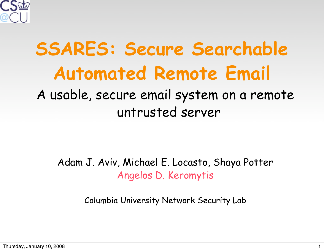

#### **SSARES: Secure Searchable Automated Remote Email**  A usable, secure email system on a remote untrusted server

Adam J. Aviv, Michael E. Locasto, Shaya Potter Angelos D. Keromytis

Columbia University Network Security Lab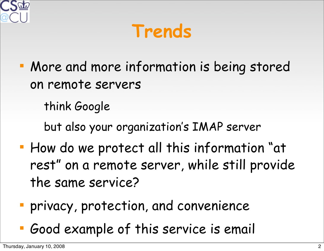

**Trends**

 More and more information is being stored on remote servers

think Google

but also your organization's IMAP server

- **How do we protect all this information "at** rest" on a remote server, while still provide the same service?
- privacy, protection, and convenience
- Good example of this service is email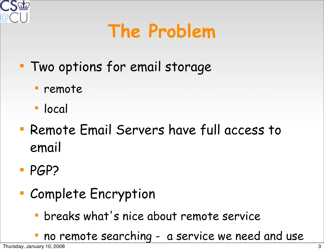

### **The Problem**

- Two options for email storage
	- remote
	- local
- Remote Email Servers have full access to email
- **PGP?**
- Complete Encryption
	- breaks what's nice about remote service
	- no remote searching a service we need and use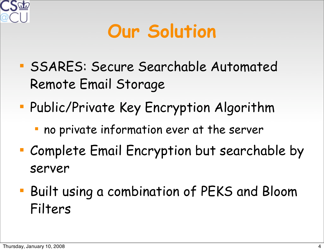

### **Our Solution**

- **SSARES: Secure Searchable Automated** Remote Email Storage
- Public/Private Key Encryption Algorithm
	- no private information ever at the server
- Complete Email Encryption but searchable by server
- Built using a combination of PEKS and Bloom Filters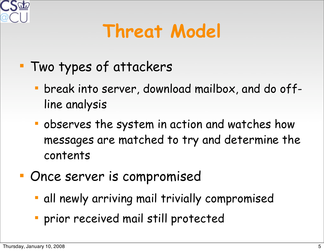

### **Threat Model**

- Two types of attackers
	- break into server, download mailbox, and do offline analysis
	- observes the system in action and watches how messages are matched to try and determine the contents
- **Once server is compromised** 
	- all newly arriving mail trivially compromised
	- prior received mail still protected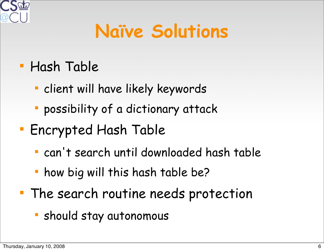

### **Naïve Solutions**

#### Hash Table

- client will have likely keywords
- possibility of a dictionary attack
- **Encrypted Hash Table** 
	- can't search until downloaded hash table
	- how big will this hash table be?
- **The search routine needs protection** 
	- should stay autonomous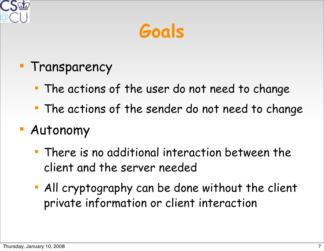

**Goals**

#### **Transparency**

- The actions of the user do not need to change
- The actions of the sender do not need to change

#### Autonomy

- There is no additional interaction between the client and the server needed
- All cryptography can be done without the client private information or client interaction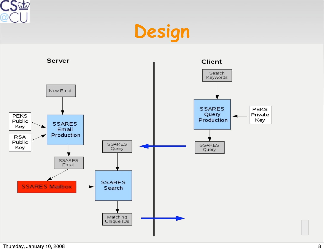





Thursday, January 10, 2008 88 and 10 and 10 and 10 and 10 and 10 and 10 and 10 and 10 and 10 and 10 and 10 and 10 and 10 and 10 and 10 and 10 and 10 and 10 and 10 and 10 and 10 and 10 and 10 and 10 and 10 and 10 and 10 and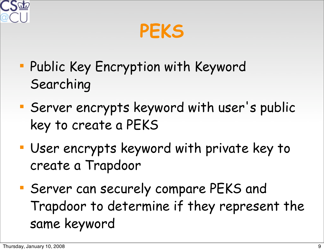

**PEKS**

- Public Key Encryption with Keyword Searching
- Server encrypts keyword with user's public key to create a PEKS
- User encrypts keyword with private key to create a Trapdoor
- Server can securely compare PEKS and Trapdoor to determine if they represent the same keyword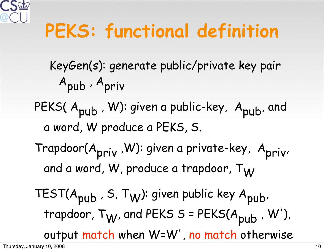

### **PEKS: functional definition**

- KeyGen(s): generate public/private key pair Apub , Apriv
- PEKS(A<sub>pub</sub>, W): given a public-key, A<sub>pub</sub>, and a word, W produce a PEKS, S.
- Trapdoor(A<sub>priv</sub>, W): given a private-key, A<sub>priv</sub>, and a word, W, produce a trapdoor, T<sub>W</sub>

TEST( $A_{pub}$ , S, T<sub>W</sub>): given public key  $A_{pub}$ , trapdoor,  $T_W$ , and PEKS S = PEKS( $A_{pub}$ , W'), output match when W=W', no match otherwise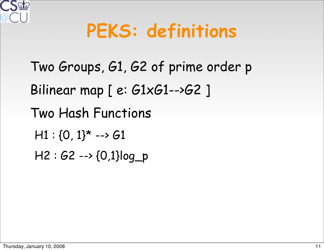

### **PEKS: definitions**

 Two Groups, G1, G2 of prime order p Bilinear map [ e: G1xG1-->G2 ] Two Hash Functions  $H1: \{0, 1\}$ \* --> 61 H2 : G2 --> {0,1}log\_p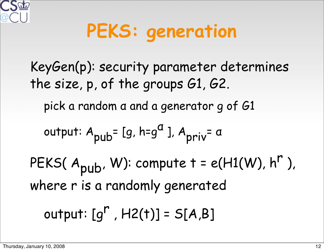

# **PEKS: generation**

 KeyGen(p): security parameter determines the size, p, of the groups G1, G2. pick a random α and a generator g of G1 output:  $A_{pub}$ = [g, h=g<sup>a</sup>],  $A_{priv}$ = a PEKS( $A_{pub}$ , W): compute  $t = e(H1(W), h^r)$ , where r is a randomly generated output:  $[q^r, H2(t)] = S[A,B]$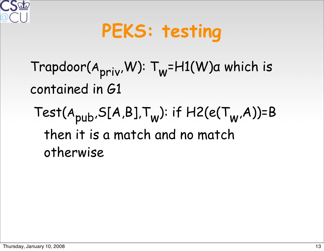

# **PEKS: testing**

#### Trapdoor(Apriv,W): Tw=H1(W)α which is contained in G1

Test( $A_{pub}$ , S[A,B], $T_w$ ): if H2(e( $T_w$ ,A))=B then it is a match and no match otherwise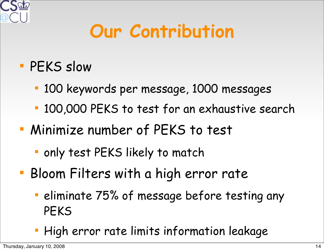

### **Our Contribution**

#### **PEKS slow**

- 100 keywords per message, 1000 messages
- 100,000 PEKS to test for an exhaustive search
- Minimize number of PEKS to test
	- only test PEKS likely to match
- Bloom Filters with a high error rate
	- **Example 75% of message before testing any** PEKS
	- **High error rate limits information leakage**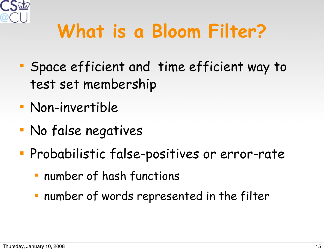

# **What is a Bloom Filter?**

- Space efficient and time efficient way to test set membership
- Non-invertible
- No false negatives
- **Probabilistic false-positives or error-rate** 
	- number of hash functions
	- number of words represented in the filter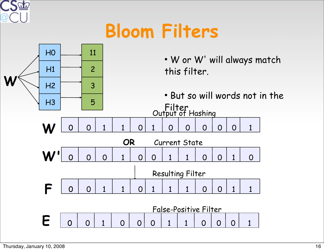

### **Bloom Filters**

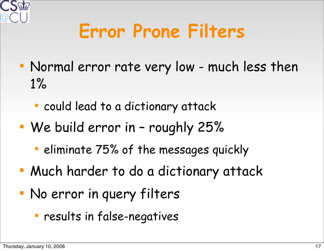

### **Error Prone Filters**

- Normal error rate very low much less then 1%
	- could lead to a dictionary attack
- We build error in roughly 25%
	- **E** eliminate 75% of the messages quickly
- Much harder to do a dictionary attack
- No error in query filters
	- results in false-negatives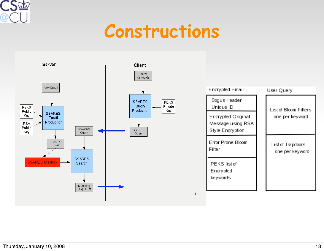

#### **Constructions**

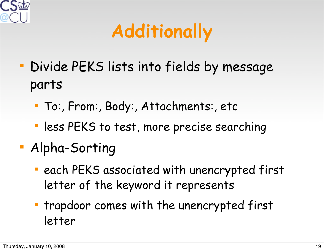

## **Additionally**

- Divide PEKS lists into fields by message parts
	- To:, From:, Body:, Attachments:, etc
	- **less PEKS to test, more precise searching**
- Alpha-Sorting
	- **Each PEKS associated with unencrypted first** letter of the keyword it represents
	- **The trapdoor comes with the unencrypted first** letter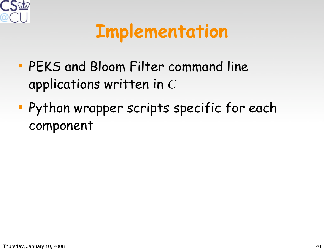

### **Implementation**

- PEKS and Bloom Filter command line applications written in *C*
- Python wrapper scripts specific for each component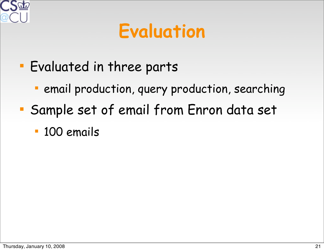

### **Evaluation**

- Evaluated in three parts
	- **Pemail production, query production, searching**
- Sample set of email from Enron data set
	- 100 emails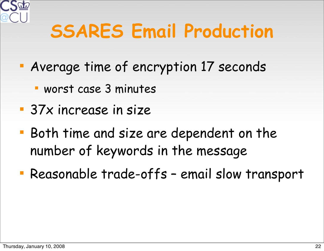

### **SSARES Email Production**

- Average time of encryption 17 seconds
	- worst case 3 minutes
- **37x increase in size**
- Both time and size are dependent on the number of keywords in the message
- Reasonable trade-offs email slow transport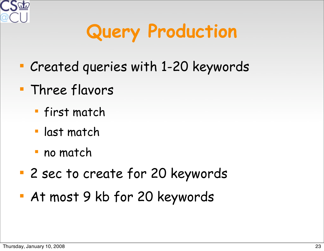

# **Query Production**

- Created queries with 1-20 keywords
- **Three flavors** 
	- **first match**
	- last match
	- no match
- 2 sec to create for 20 keywords
- At most 9 kb for 20 keywords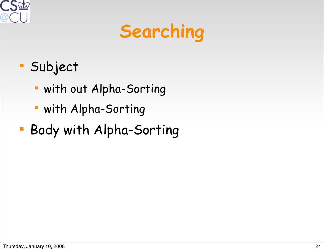

# **Searching**

- Subject
	- with out Alpha-Sorting
	- with Alpha-Sorting
- Body with Alpha-Sorting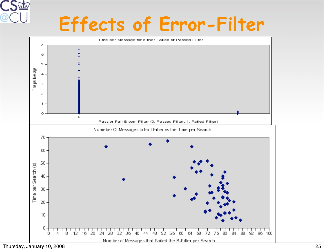# **Effects of Error-Filter**

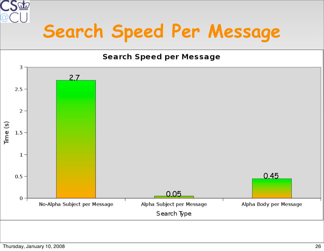

### **Search Speed Per Message**

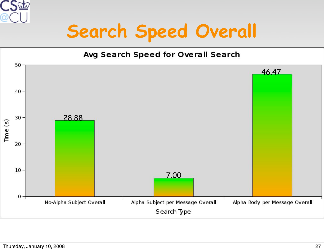

### **Search Speed Overall**

#### Avg Search Speed for Overall Search

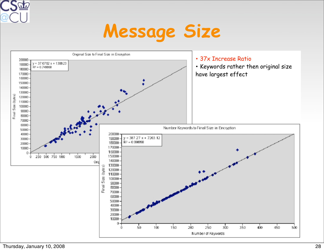

#### **Message Size**

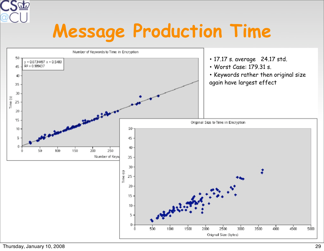

### **Message Production Time**

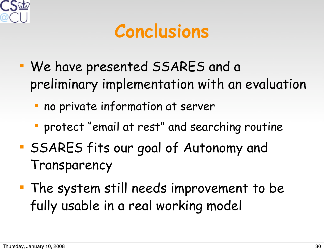![](_page_29_Picture_0.jpeg)

#### **Conclusions**

- We have presented SSARES and a preliminary implementation with an evaluation
	- no private information at server
	- protect "email at rest" and searching routine
- SSARES fits our goal of Autonomy and Transparency
- The system still needs improvement to be fully usable in a real working model